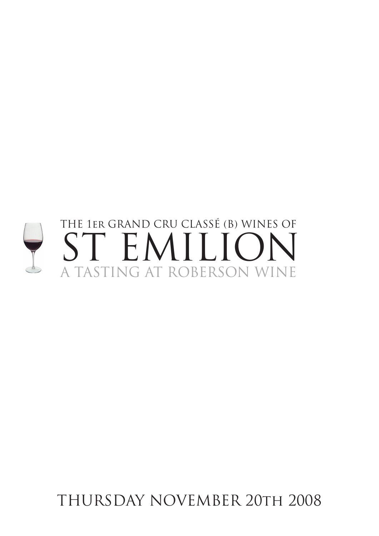

THURSDAY NOVEMBER 20th 2008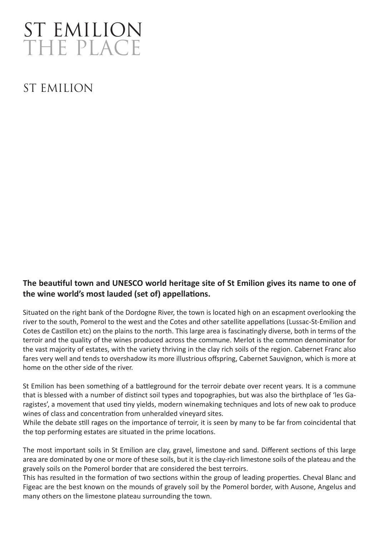### ST EMILION THE PLACE

### ST EMILION

#### **The beau�ful town and UNESCO world heritage site of St Emilion gives its name to one of**  the wine world's most lauded (set of) appellations.

Situated on the right bank of the Dordogne River, the town is located high on an escapment overlooking the river to the south, Pomerol to the west and the Cotes and other satellite appellations (Lussac-St-Emilion and Cotes de Castillon etc) on the plains to the north. This large area is fascinatingly diverse, both in terms of the terroir and the quality of the wines produced across the commune. Merlot is the common denominator for the vast majority of estates, with the variety thriving in the clay rich soils of the region. Cabernet Franc also fares very well and tends to overshadow its more illustrious offspring, Cabernet Sauvignon, which is more at home on the other side of the river.

St Emilion has been something of a battleground for the terroir debate over recent years. It is a commune that is blessed with a number of distinct soil types and topographies, but was also the birthplace of 'les Garagistes', a movement that used tiny yields, modern winemaking techniques and lots of new oak to produce wines of class and concentration from unheralded vineyard sites.

While the debate still rages on the importance of terroir, it is seen by many to be far from coincidental that the top performing estates are situated in the prime locations.

The most important soils in St Emilion are clay, gravel, limestone and sand. Different sections of this large area are dominated by one or more of these soils, but it is the clay-rich limestone soils of the plateau and the gravely soils on the Pomerol border that are considered the best terroirs.

This has resulted in the formation of two sections within the group of leading properties. Cheval Blanc and Figeac are the best known on the mounds of gravely soil by the Pomerol border, with Ausone, Angelus and many others on the limestone plateau surrounding the town.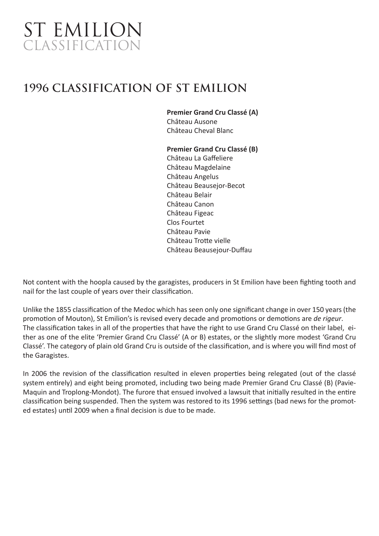### ST EMILION CLASSIFICATION

### **1996 CLASSIFICATION OF ST EMILION**

#### **Premier Grand Cru Classé (A)** Château Ausone

Château Cheval Blanc

#### **Premier Grand Cru Classé (B)**

Château La Gaffeliere Château Magdelaine Château Angelus Château Beausejor-Becot Château Belair Château Canon Château Figeac Clos Fourtet Château Pavie Château Trotte vielle Château Beausejour-Duffau

Not content with the hoopla caused by the garagistes, producers in St Emilion have been fighting tooth and nail for the last couple of years over their classification.

Unlike the 1855 classification of the Medoc which has seen only one significant change in over 150 years (the promotion of Mouton), St Emilion's is revised every decade and promotions or demotions are *de rigeur*. The classification takes in all of the properties that have the right to use Grand Cru Classé on their label, either as one of the elite 'Premier Grand Cru Classé' (A or B) estates, or the slightly more modest 'Grand Cru Classé'. The category of plain old Grand Cru is outside of the classification, and is where you will find most of the Garagistes.

In 2006 the revision of the classification resulted in eleven properties being relegated (out of the classé system entirely) and eight being promoted, including two being made Premier Grand Cru Classé (B) (Pavie-Maquin and Troplong-Mondot). The furore that ensued involved a lawsuit that initially resulted in the entire classification being suspended. Then the system was restored to its 1996 settings (bad news for the promoted estates) until 2009 when a final decision is due to be made.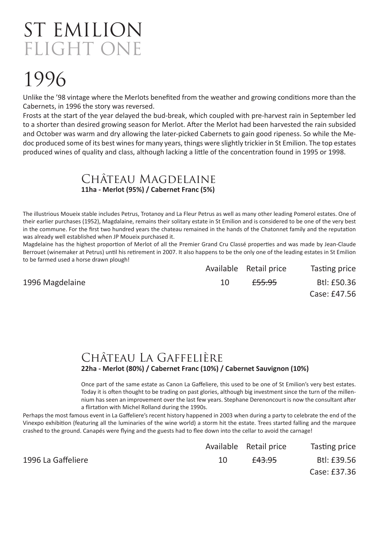## ST EMILION FLIGHT ONE

# 1996

Unlike the '98 vintage where the Merlots benefited from the weather and growing conditions more than the Cabernets, in 1996 the story was reversed.

Frosts at the start of the year delayed the bud-break, which coupled with pre-harvest rain in September led to a shorter than desired growing season for Merlot. After the Merlot had been harvested the rain subsided and October was warm and dry allowing the later-picked Cabernets to gain good ripeness. So while the Medoc produced some of its best wines for many years, things were slightly trickier in St Emilion. The top estates produced wines of quality and class, although lacking a little of the concentration found in 1995 or 1998.

#### CHÂTEAU MAGDELAINE **11ha - Merlot (95%) / Cabernet Franc (5%)**

The illustrious Moueix stable includes Petrus, Trotanoy and La Fleur Petrus as well as many other leading Pomerol estates. One of their earlier purchases (1952), Magdalaine, remains their solitary estate in St Emilion and is considered to be one of the very best in the commune. For the first two hundred years the chateau remained in the hands of the Chatonnet family and the reputation was already well established when JP Moueix purchased it.

Magdelaine has the highest proportion of Merlot of all the Premier Grand Cru Classé properties and was made by Jean-Claude Berrouet (winemaker at Petrus) until his retirement in 2007. It also happens to be the only one of the leading estates in St Emilion to be farmed used a horse drawn plough!

|                 |    | Available Retail price | Tasting price |
|-----------------|----|------------------------|---------------|
| 1996 Magdelaine | 10 | <del>£55.95</del>      | Btl: £50.36   |
|                 |    |                        | Case: £47.56  |

### Château La Gaffelière **22ha - Merlot (80%) / Cabernet Franc (10%) / Cabernet Sauvignon (10%)**

Once part of the same estate as Canon La Gaffeliere, this used to be one of St Emilion's very best estates. Today it is often thought to be trading on past glories, although big investment since the turn of the millennium has seen an improvement over the last few years. Stephane Derenoncourt is now the consultant after a flirtation with Michel Rolland during the 1990s.

Perhaps the most famous event in La Gaffeliere's recent history happened in 2003 when during a party to celebrate the end of the Vinexpo exhibition (featuring all the luminaries of the wine world) a storm hit the estate. Trees started falling and the marquee crashed to the ground. Canapés were flying and the guests had to flee down into the cellar to avoid the carnage!

|    | Available Retail price | Tasting price |
|----|------------------------|---------------|
| 10 | <del>£43.95</del>      | Btl: £39.56   |
|    |                        | Case: £37.36  |

1996 La Gaffeliere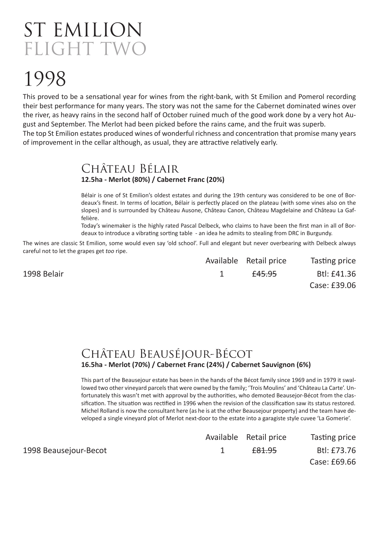## ST EMILION FLIGHT TWO

# 1998

This proved to be a sensational year for wines from the right-bank, with St Emilion and Pomerol recording their best performance for many years. The story was not the same for the Cabernet dominated wines over the river, as heavy rains in the second half of October ruined much of the good work done by a very hot August and September. The Merlot had been picked before the rains came, and the fruit was superb.

The top St Emilion estates produced wines of wonderful richness and concentration that promise many years of improvement in the cellar although, as usual, they are attractive relatively early.

### CHÂTEAU BÉLAIR **12.5ha - Merlot (80%) / Cabernet Franc (20%)**

Bélair is one of St Emilion's oldest estates and during the 19th century was considered to be one of Bordeaux's finest. In terms of location, Bélair is perfectly placed on the plateau (with some vines also on the slopes) and is surrounded by Château Ausone, Château Canon, Château Magdelaine and Château La Gaffelière.

Today's winemaker is the highly rated Pascal Delbeck, who claims to have been the first man in all of Bordeaux to introduce a vibrating sorting table - an idea he admits to stealing from DRC in Burgundy.

The wines are classic St Emilion, some would even say 'old school'. Full and elegant but never overbearing with Delbeck always careful not to let the grapes get *too* ripe.

|             | Available Retail price | Tasting price |
|-------------|------------------------|---------------|
| 1998 Belair | <del>£45.95</del>      | Btl: £41.36   |
|             |                        | Case: £39.06  |

### Château Beauséjour-Bécot **16.5ha - Merlot (70%) / Cabernet Franc (24%) / Cabernet Sauvignon (6%)**

This part of the Beausejour estate has been in the hands of the Bécot family since 1969 and in 1979 it swallowed two other vineyard parcels that were owned by the family; 'Trois Moulins' and 'Château La Carte'. Unfortunately this wasn't met with approval by the authorities, who demoted Beausejor-Bécot from the classification. The situation was rectified in 1996 when the revision of the classification saw its status restored. Michel Rolland is now the consultant here (as he is at the other Beausejour property) and the team have developed a single vineyard plot of Merlot next-door to the estate into a garagiste style cuvee 'La Gomerie'.

|                       | Available Retail price | Tasting price |
|-----------------------|------------------------|---------------|
| 1998 Beausejour-Becot | <del>£81.95</del>      | Btl: £73.76   |
|                       |                        | Case: £69.66  |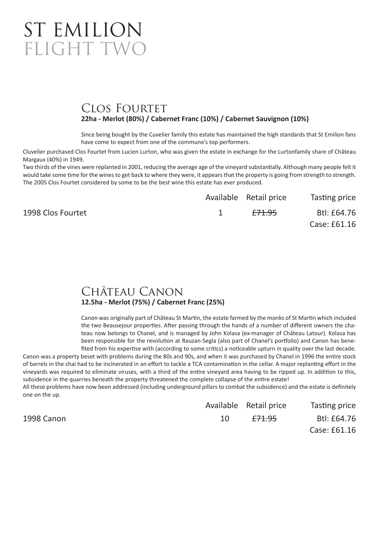## ST EMILION FLIGHT TWO

#### CLOS FOURTET **22ha - Merlot (80%) / Cabernet Franc (10%) / Cabernet Sauvignon (10%)**

Since being bought by the Cuvelier family this estate has maintained the high standards that St Emilion fans have come to expect from one of the commune's top performers.

Cluvelier purchased Clos Fourtet from Lucien Lurton, who was given the estate in exchange for the Lurtonfamily share of Château Margaux (40%) in 1949.

Two thirds of the vines were replanted in 2001, reducing the average age of the vineyard substantially. Although many people felt it would take some time for the wines to get back to where they were, it appears that the property is going from strength to strength. The 2005 Clos Fourtet considered by some to be the best wine this estate has ever produced.

|                   | Available Retail price | Tasting price |
|-------------------|------------------------|---------------|
| 1998 Clos Fourtet | <del>£71.95</del>      | Btl: £64.76   |
|                   |                        | Case: £61.16  |

#### CHÂTEAU CANON **12.5ha - Merlot (75%) / Cabernet Franc (25%)**

Canon was originally part of Château St Martin, the estate farmed by the monks of St Martin which included the two Beausejour properties. After passing through the hands of a number of different owners the chateau now belongs to Chanel, and is managed by John Kolasa (ex-manager of Château Latour). Kolasa has been responsible for the revolution at Rauzan-Segla (also part of Chanel's portfolio) and Canon has benefited from his expertise with (according to some critics) a noticeable upturn in quality over the last decade.

Canon was a property beset with problems during the 80s and 90s, and when it was purchased by Chanel in 1996 the en�re stock of barrels in the chai had to be incinerated in an effort to tackle a TCA contamination in the cellar. A major replanting effort in the vineyards was required to eliminate viruses, with a third of the entire vineyard area having to be ripped up. In addition to this, subsidence in the quarries beneath the property threatened the complete collapse of the entire estate!

All these problems have now been addressed (including underground pillars to combat the subsidence) and the estate is definitely one on the up.

|            |    | Available Retail price | Tasting price |
|------------|----|------------------------|---------------|
| 1998 Canon | 10 | <del>£71.95</del>      | Btl: £64.76   |
|            |    |                        | Case: £61.16  |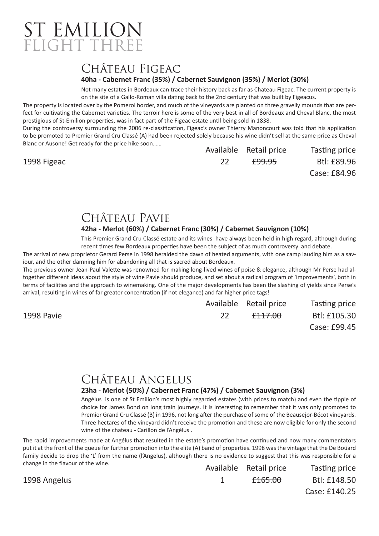### ST EMILION FLIGHT THREE

### CHÂTEAU FIGEAC

#### **40ha - Cabernet Franc (35%) / Cabernet Sauvignon (35%) / Merlot (30%)**

Not many estates in Bordeaux can trace their history back as far as Chateau Figeac. The current property is on the site of a Gallo-Roman villa dating back to the 2nd century that was built by Figeacus.

The property is located over by the Pomerol border, and much of the vineyards are planted on three gravelly mounds that are perfect for cultivating the Cabernet varieties. The terroir here is some of the very best in all of Bordeaux and Cheval Blanc, the most prestigious of St-Emilion properties, was in fact part of the Figeac estate until being sold in 1838.

During the controversy surrounding the 2006 re-classification, Figeac's owner Thierry Manoncourt was told that his application to be promoted to Premier Grand Cru Classé (A) had been rejected solely because his wine didn't sell at the same price as Cheval Blanc or Ausone! Get ready for the price hike soon……

|             | Available Retail price | Tasting price |
|-------------|------------------------|---------------|
| 1998 Figeac | <del>199.95</del>      | Btl: £89.96   |
|             |                        | Case: £84.96  |

### CHÂTEAU PAVIE **42ha - Merlot (60%) / Cabernet Franc (30%) / Cabernet Sauvignon (10%)**

This Premier Grand Cru Classé estate and its wines have always been held in high regard, although during recent times few Bordeaux properties have been the subject of as much controversy and debate.

The arrival of new proprietor Gerard Perse in 1998 heralded the dawn of heated arguments, with one camp lauding him as a saviour, and the other damning him for abandoning all that is sacred about Bordeaux.

The previous owner Jean-Paul Valette was renowned for making long-lived wines of poise & elegance, although Mr Perse had altogether different ideas about the style of wine Pavie should produce, and set about a radical program of 'improvements', both in terms of facilities and the approach to winemaking. One of the major developments has been the slashing of yields since Perse's arrival, resulting in wines of far greater concentration (if not elegance) and far higher price tags!

|            | Available Retail price | Tasting price |
|------------|------------------------|---------------|
| 1998 Pavie | £117.00                | Btl: £105.30  |
|            |                        | Case: £99.45  |

### CHÂTEAU ANGELUS

#### **23ha - Merlot (50%) / Cabernet Franc (47%) / Cabernet Sauvignon (3%)**

Angélus is one of St Emilion's most highly regarded estates (with prices to match) and even the tipple of choice for James Bond on long train journeys. It is interesting to remember that it was only promoted to Premier Grand Cru Classé (B) in 1996, not long after the purchase of some of the Beausejor-Bécot vineyards. Three hectares of the vineyard didn't receive the promotion and these are now eligible for only the second wine of the chateau - Carillon de l'Angélus .

The rapid improvements made at Angélus that resulted in the estate's promotion have continued and now many commentators put it at the front of the queue for further promotion into the elite (A) band of properties. 1998 was the vintage that the De Boüard family decide to drop the 'L' from the name (l'Angelus), although there is no evidence to suggest that this was responsible for a change in the flavour of the wine.

| change in the navour of the wille. | Available Retail price | Tasting price |
|------------------------------------|------------------------|---------------|
| 1998 Angelus                       | <del>£165.00</del>     | Btl: £148.50  |
|                                    |                        | Case: £140.25 |